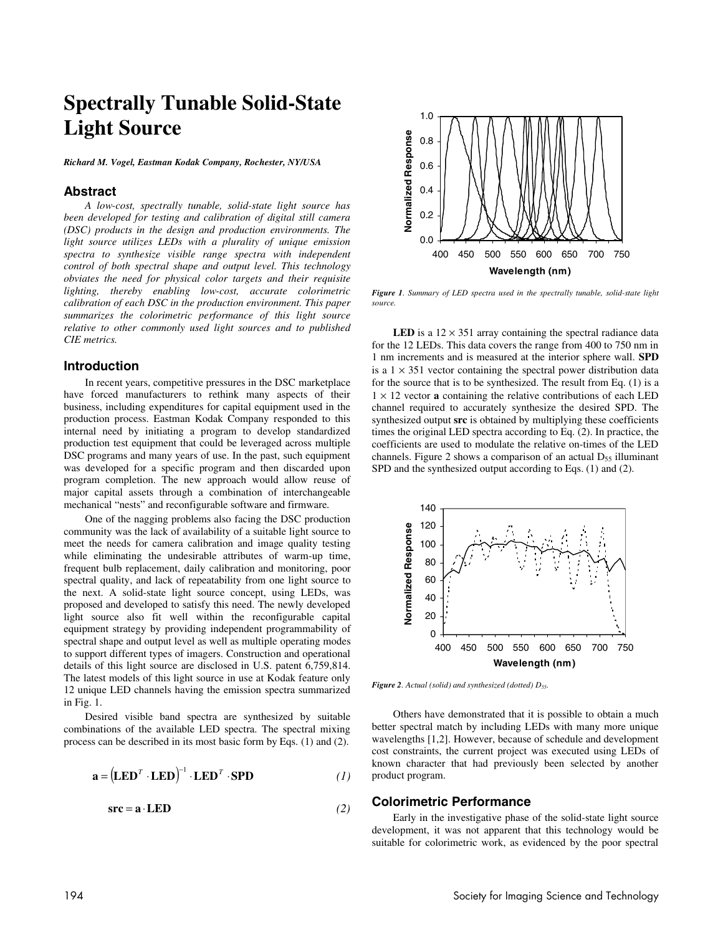# **Spectrally Tunable Solid-State Light Source**

*Richard M. Vogel, Eastman Kodak Company, Rochester, NY/USA* 

### **Abstract**

*A low-cost, spectrally tunable, solid-state light source has been developed for testing and calibration of digital still camera (DSC) products in the design and production environments. The light source utilizes LEDs with a plurality of unique emission spectra to synthesize visible range spectra with independent control of both spectral shape and output level. This technology obviates the need for physical color targets and their requisite lighting, thereby enabling low-cost, accurate colorimetric calibration of each DSC in the production environment. This paper summarizes the colorimetric performance of this light source relative to other commonly used light sources and to published CIE metrics.* 

#### **Introduction**

In recent years, competitive pressures in the DSC marketplace have forced manufacturers to rethink many aspects of their business, including expenditures for capital equipment used in the production process. Eastman Kodak Company responded to this internal need by initiating a program to develop standardized production test equipment that could be leveraged across multiple DSC programs and many years of use. In the past, such equipment was developed for a specific program and then discarded upon program completion. The new approach would allow reuse of major capital assets through a combination of interchangeable mechanical "nests" and reconfigurable software and firmware.

One of the nagging problems also facing the DSC production community was the lack of availability of a suitable light source to meet the needs for camera calibration and image quality testing while eliminating the undesirable attributes of warm-up time, frequent bulb replacement, daily calibration and monitoring, poor spectral quality, and lack of repeatability from one light source to the next. A solid-state light source concept, using LEDs, was proposed and developed to satisfy this need. The newly developed light source also fit well within the reconfigurable capital equipment strategy by providing independent programmability of spectral shape and output level as well as multiple operating modes to support different types of imagers. Construction and operational details of this light source are disclosed in U.S. patent 6,759,814. The latest models of this light source in use at Kodak feature only 12 unique LED channels having the emission spectra summarized in Fig. 1.

Desired visible band spectra are synthesized by suitable combinations of the available LED spectra. The spectral mixing process can be described in its most basic form by Eqs. (1) and (2).

$$
\mathbf{a} = (\mathbf{LED}^T \cdot \mathbf{LED})^{-1} \cdot \mathbf{LED}^T \cdot \mathbf{SPD} \tag{1}
$$

$$
src = a \cdot LED \tag{2}
$$



*Figure 1. Summary of LED spectra used in the spectrally tunable, solid-state light source.* 

**LED** is a  $12 \times 351$  array containing the spectral radiance data for the 12 LEDs. This data covers the range from 400 to 750 nm in 1 nm increments and is measured at the interior sphere wall. **SPD** is a  $1 \times 351$  vector containing the spectral power distribution data for the source that is to be synthesized. The result from Eq. (1) is a  $1 \times 12$  vector **a** containing the relative contributions of each LED channel required to accurately synthesize the desired SPD. The synthesized output **src** is obtained by multiplying these coefficients times the original LED spectra according to Eq. (2). In practice, the coefficients are used to modulate the relative on-times of the LED channels. Figure 2 shows a comparison of an actual  $D_{55}$  illuminant SPD and the synthesized output according to Eqs. (1) and (2).



*Figure 2. Actual (solid) and synthesized (dotted) D55.*

Others have demonstrated that it is possible to obtain a much better spectral match by including LEDs with many more unique wavelengths [1,2]. However, because of schedule and development cost constraints, the current project was executed using LEDs of known character that had previously been selected by another product program.

## **Colorimetric Performance**

Early in the investigative phase of the solid-state light source development, it was not apparent that this technology would be suitable for colorimetric work, as evidenced by the poor spectral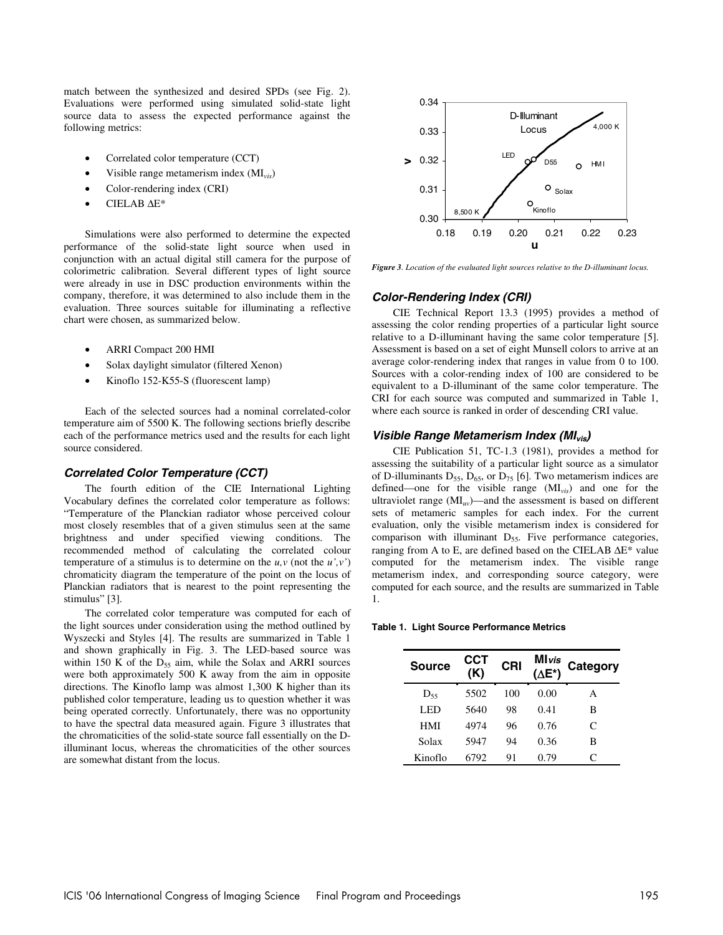match between the synthesized and desired SPDs (see Fig. 2). Evaluations were performed using simulated solid-state light source data to assess the expected performance against the following metrics:

- Correlated color temperature (CCT)
- Visible range metamerism index (MI*vis*)
- Color-rendering index (CRI)
- CIELAB ∆E\*

Simulations were also performed to determine the expected performance of the solid-state light source when used in conjunction with an actual digital still camera for the purpose of colorimetric calibration. Several different types of light source were already in use in DSC production environments within the company, therefore, it was determined to also include them in the evaluation. Three sources suitable for illuminating a reflective chart were chosen, as summarized below.

- ARRI Compact 200 HMI
- Solax daylight simulator (filtered Xenon)
- Kinoflo 152-K55-S (fluorescent lamp)

Each of the selected sources had a nominal correlated-color temperature aim of 5500 K. The following sections briefly describe each of the performance metrics used and the results for each light source considered.

#### **Correlated Color Temperature (CCT)**

The fourth edition of the CIE International Lighting Vocabulary defines the correlated color temperature as follows: "Temperature of the Planckian radiator whose perceived colour most closely resembles that of a given stimulus seen at the same brightness and under specified viewing conditions. The recommended method of calculating the correlated colour temperature of a stimulus is to determine on the  $u, v$  (not the  $u', v'$ ) chromaticity diagram the temperature of the point on the locus of Planckian radiators that is nearest to the point representing the stimulus" [3].

The correlated color temperature was computed for each of the light sources under consideration using the method outlined by Wyszecki and Styles [4]. The results are summarized in Table 1 and shown graphically in Fig. 3. The LED-based source was within 150 K of the  $D_{55}$  aim, while the Solax and ARRI sources were both approximately 500 K away from the aim in opposite directions. The Kinoflo lamp was almost 1,300 K higher than its published color temperature, leading us to question whether it was being operated correctly. Unfortunately, there was no opportunity to have the spectral data measured again. Figure 3 illustrates that the chromaticities of the solid-state source fall essentially on the Dilluminant locus, whereas the chromaticities of the other sources are somewhat distant from the locus.



*Figure 3. Location of the evaluated light sources relative to the D-illuminant locus.* 

#### **Color-Rendering Index (CRI)**

CIE Technical Report 13.3 (1995) provides a method of assessing the color rending properties of a particular light source relative to a D-illuminant having the same color temperature [5]. Assessment is based on a set of eight Munsell colors to arrive at an average color-rendering index that ranges in value from 0 to 100. Sources with a color-rending index of 100 are considered to be equivalent to a D-illuminant of the same color temperature. The CRI for each source was computed and summarized in Table 1, where each source is ranked in order of descending CRI value.

#### **Visible Range Metamerism Index (MIvis)**

CIE Publication 51, TC-1.3 (1981), provides a method for assessing the suitability of a particular light source as a simulator of D-illuminants  $D_{55}$ ,  $D_{65}$ , or  $D_{75}$  [6]. Two metamerism indices are defined—one for the visible range (MI*vis*) and one for the ultraviolet range (MI*uv*)—and the assessment is based on different sets of metameric samples for each index. For the current evaluation, only the visible metamerism index is considered for comparison with illuminant  $D_{55}$ . Five performance categories, ranging from A to E, are defined based on the CIELAB ∆E\* value computed for the metamerism index. The visible range metamerism index, and corresponding source category, were computed for each source, and the results are summarized in Table 1.

**Table 1. Light Source Performance Metrics** 

| <b>Source</b> | ССТ<br>(K) | CRI | <b>M</b> Ivis<br>$(\Delta E^*)$ | Category |
|---------------|------------|-----|---------------------------------|----------|
| $D_{55}$      | 5502       | 100 | 0.00                            | A        |
| LED           | 5640       | 98  | 0.41                            | в        |
| <b>HMI</b>    | 4974       | 96  | 0.76                            | C        |
| Solax         | 5947       | 94  | 0.36                            | в        |
| Kinoflo       | 6792       | 91  | 0.79                            | C        |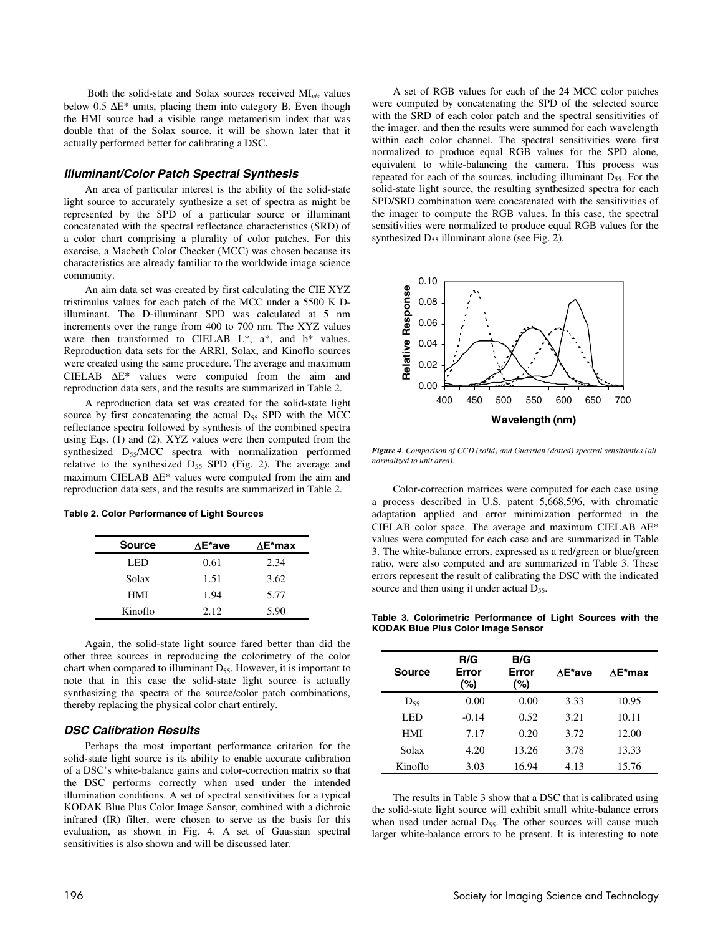Both the solid-state and Solax sources received MI*vis* values below 0.5 ∆E\* units, placing them into category B. Even though the HMI source had a visible range metamerism index that was double that of the Solax source, it will be shown later that it actually performed better for calibrating a DSC.

#### **Illuminant/Color Patch Spectral Synthesis**

An area of particular interest is the ability of the solid-state light source to accurately synthesize a set of spectra as might be represented by the SPD of a particular source or illuminant concatenated with the spectral reflectance characteristics (SRD) of a color chart comprising a plurality of color patches. For this exercise, a Macbeth Color Checker (MCC) was chosen because its characteristics are already familiar to the worldwide image science community.

An aim data set was created by first calculating the CIE XYZ tristimulus values for each patch of the MCC under a 5500 K Dilluminant. The D-illuminant SPD was calculated at 5 nm increments over the range from 400 to 700 nm. The XYZ values were then transformed to CIELAB  $L^*$ ,  $a^*$ , and  $b^*$  values. Reproduction data sets for the ARRI, Solax, and Kinoflo sources were created using the same procedure. The average and maximum CIELAB ∆E\* values were computed from the aim and reproduction data sets, and the results are summarized in Table 2.

A reproduction data set was created for the solid-state light source by first concatenating the actual  $D_{55}$  SPD with the MCC reflectance spectra followed by synthesis of the combined spectra using Eqs. (1) and (2). XYZ values were then computed from the synthesized  $D_{55}/MCC$  spectra with normalization performed relative to the synthesized  $D_{55}$  SPD (Fig. 2). The average and maximum CIELAB ∆E\* values were computed from the aim and reproduction data sets, and the results are summarized in Table 2.

| Table 2. Color Performance of Light Sources |  |
|---------------------------------------------|--|
|---------------------------------------------|--|

| <b>Source</b> | ∆E*ave | ∆E*max |
|---------------|--------|--------|
| LED           | 0.61   | 2.34   |
| Solax         | 1.51   | 3.62   |
| HMI           | 1.94   | 5.77   |
| Kinoflo       | 2.12.  | 5.90   |

Again, the solid-state light source fared better than did the other three sources in reproducing the colorimetry of the color chart when compared to illuminant  $D_{55}$ . However, it is important to note that in this case the solid-state light source is actually synthesizing the spectra of the source/color patch combinations, thereby replacing the physical color chart entirely.

### **DSC Calibration Results**

Perhaps the most important performance criterion for the solid-state light source is its ability to enable accurate calibration of a DSC's white-balance gains and color-correction matrix so that the DSC performs correctly when used under the intended illumination conditions. A set of spectral sensitivities for a typical KODAK Blue Plus Color Image Sensor, combined with a dichroic infrared (IR) filter, were chosen to serve as the basis for this evaluation, as shown in Fig. 4. A set of Guassian spectral sensitivities is also shown and will be discussed later.

A set of RGB values for each of the 24 MCC color patches were computed by concatenating the SPD of the selected source with the SRD of each color patch and the spectral sensitivities of the imager, and then the results were summed for each wavelength within each color channel. The spectral sensitivities were first normalized to produce equal RGB values for the SPD alone, equivalent to white-balancing the camera. This process was repeated for each of the sources, including illuminant  $D_{55}$ . For the solid-state light source, the resulting synthesized spectra for each SPD/SRD combination were concatenated with the sensitivities of the imager to compute the RGB values. In this case, the spectral sensitivities were normalized to produce equal RGB values for the synthesized  $D_{55}$  illuminant alone (see Fig. 2).



*Figure 4. Comparison of CCD (solid) and Guassian (dotted) spectral sensitivities (all normalized to unit area).*

Color-correction matrices were computed for each case using a process described in U.S. patent 5,668,596, with chromatic adaptation applied and error minimization performed in the CIELAB color space. The average and maximum CIELAB ∆E\* values were computed for each case and are summarized in Table 3. The white-balance errors, expressed as a red/green or blue/green ratio, were also computed and are summarized in Table 3. These errors represent the result of calibrating the DSC with the indicated source and then using it under actual  $D_{55}$ .

**Table 3. Colorimetric Performance of Light Sources with the KODAK Blue Plus Color Image Sensor** 

| <b>Source</b> | R/G<br>Error<br>(%) | B/G<br>Error<br>(%) | ∧E*ave | $AE*max$ |
|---------------|---------------------|---------------------|--------|----------|
| $D_{55}$      | 0.00                | 0.00                | 3.33   | 10.95    |
| LED           | $-0.14$             | 0.52                | 3.21   | 10.11    |
| HMI           | 7.17                | 0.20                | 3.72   | 12.00    |
| Solax         | 4.20                | 13.26               | 3.78   | 13.33    |
| Kinoflo       | 3.03                | 16.94               | 4.13   | 15.76    |

The results in Table 3 show that a DSC that is calibrated using the solid-state light source will exhibit small white-balance errors when used under actual  $D_{55}$ . The other sources will cause much larger white-balance errors to be present. It is interesting to note